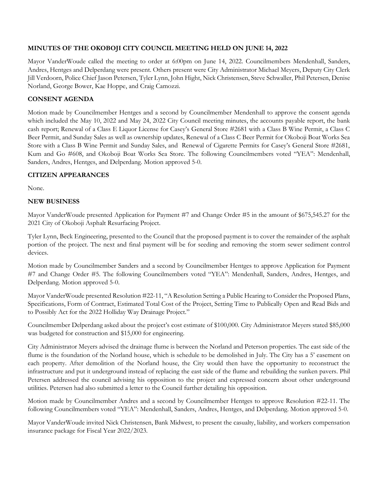## **MINUTES OF THE OKOBOJI CITY COUNCIL MEETING HELD ON JUNE 14, 2022**

Mayor VanderWoude called the meeting to order at 6:00pm on June 14, 2022. Councilmembers Mendenhall, Sanders, Andres, Hentges and Delperdang were present. Others present were City Administrator Michael Meyers, Deputy City Clerk Jill Verdoorn, Police Chief Jason Petersen, Tyler Lynn, John Hight, Nick Christensen, Steve Schwaller, Phil Petersen, Denise Norland, George Bower, Kae Hoppe, and Craig Camozzi.

#### **CONSENT AGENDA**

Motion made by Councilmember Hentges and a second by Councilmember Mendenhall to approve the consent agenda which included the May 10, 2022 and May 24, 2022 City Council meeting minutes, the accounts payable report, the bank cash report; Renewal of a Class E Liquor License for Casey's General Store #2681 with a Class B Wine Permit, a Class C Beer Permit, and Sunday Sales as well as ownership updates, Renewal of a Class C Beer Permit for Okoboji Boat Works Sea Store with a Class B Wine Permit and Sunday Sales, and Renewal of Cigarette Permits for Casey's General Store #2681, Kum and Go #608, and Okoboji Boat Works Sea Store. The following Councilmembers voted "YEA": Mendenhall, Sanders, Andres, Hentges, and Delperdang. Motion approved 5-0.

#### **CITIZEN APPEARANCES**

None.

#### **NEW BUSINESS**

Mayor VanderWoude presented Application for Payment #7 and Change Order #5 in the amount of \$675,545.27 for the 2021 City of Okoboji Asphalt Resurfacing Project.

Tyler Lynn, Beck Engineering, presented to the Council that the proposed payment is to cover the remainder of the asphalt portion of the project. The next and final payment will be for seeding and removing the storm sewer sediment control devices.

Motion made by Councilmember Sanders and a second by Councilmember Hentges to approve Application for Payment #7 and Change Order #5. The following Councilmembers voted "YEA": Mendenhall, Sanders, Andres, Hentges, and Delperdang. Motion approved 5-0.

Mayor VanderWoude presented Resolution #22-11, "A Resolution Setting a Public Hearing to Consider the Proposed Plans, Specifications, Form of Contract, Estimated Total Cost of the Project, Setting Time to Publically Open and Read Bids and to Possibly Act for the 2022 Holliday Way Drainage Project."

Councilmember Delperdang asked about the project's cost estimate of \$100,000. City Administrator Meyers stated \$85,000 was budgeted for construction and \$15,000 for engineering.

City Administrator Meyers advised the drainage flume is between the Norland and Peterson properties. The east side of the flume is the foundation of the Norland house, which is schedule to be demolished in July. The City has a 5' easement on each property. After demolition of the Norland house, the City would then have the opportunity to reconstruct the infrastructure and put it underground instead of replacing the east side of the flume and rebuilding the sunken pavers. Phil Petersen addressed the council advising his opposition to the project and expressed concern about other underground utilities. Petersen had also submitted a letter to the Council further detailing his opposition.

Motion made by Councilmember Andres and a second by Councilmember Hentges to approve Resolution #22-11. The following Councilmembers voted "YEA": Mendenhall, Sanders, Andres, Hentges, and Delperdang. Motion approved 5-0.

Mayor VanderWoude invited Nick Christensen, Bank Midwest, to present the casualty, liability, and workers compensation insurance package for Fiscal Year 2022/2023.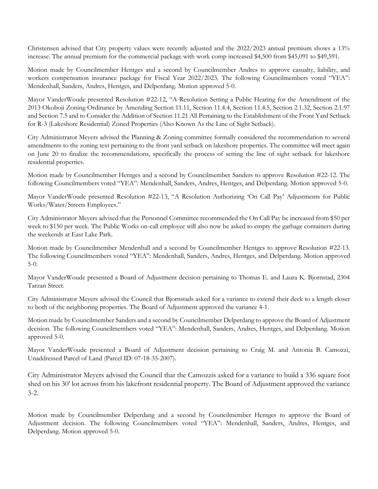Christensen advised that City property values were recently adjusted and the 2022/2023 annual premium shows a 13% increase. The annual premium for the commercial package with work comp increased \$4,500 from \$45,091 to \$49,591.

Motion made by Councilmember Hentges and a second by Councilmember Andres to approve casualty, liability, and workers compensation insurance package for Fiscal Year 2022/2023. The following Councilmembers voted "YEA": Mendenhall, Sanders, Andres, Hentges, and Delperdang. Motion approved 5-0.

Mayor VanderWoude presented Resolution #22-12, "A Resolution Setting a Public Hearing for the Amendment of the 2013 Okoboji Zoning Ordinance by Amending Section 11.11, Section 11.4.4, Section 11.4.5, Section 2.1.32, Section 2.1.97 and Section 7.5 and to Consider the Addition of Section 11.21 All Pertaining to the Establishment of the Front Yard Setback for R-3 (Lakeshore Residential) Zoned Properties (Also Known As the Line of Sight Setback).

City Administrator Meyers advised the Planning & Zoning committee formally considered the recommendation to several amendments to the zoning text pertaining to the front yard setback on lakeshore properties. The committee will meet again on June 20 to finalize the recommendations, specifically the process of setting the line of sight setback for lakeshore residential properties.

Motion made by Councilmember Hentges and a second by Councilmember Sanders to approve Resolution #22-12. The following Councilmembers voted "YEA": Mendenhall, Sanders, Andres, Hentges, and Delperdang. Motion approved 5-0.

Mayor VanderWoude presented Resolution #22-13, "A Resolution Authorizing 'On Call Pay' Adjustments for Public Works/Water/Streets Employees."

City Administrator Meyers advised that the Personnel Committee recommended the On Call Pay be increased from \$50 per week to \$150 per week. The Public Works on-call employee will also now be asked to empty the garbage containers during the weekends at East Lake Park.

Motion made by Councilmember Mendenhall and a second by Councilmember Hentges to approve Resolution #22-13. The following Councilmembers voted "YEA": Mendenhall, Sanders, Andres, Hentges, and Delperdang. Motion approved 5-0.

Mayor VanderWoude presented a Board of Adjustment decision pertaining to Thomas E. and Laura K. Bjornstad, 2304 Tarzan Street.

City Administrator Meyers advised the Council that Bjornstads asked for a variance to extend their deck to a length closer to both of the neighboring properties. The Board of Adjustment approved the variance 4-1.

Motion made by Councilmember Sanders and a second by Councilmember Delperdang to approve the Board of Adjustment decision. The following Councilmembers voted "YEA": Mendenhall, Sanders, Andres, Hentges, and Delperdang. Motion approved 5-0.

Mayor VanderWoude presented a Board of Adjustment decision pertaining to Craig M. and Antonia B. Camozzi, Unaddressed Parcel of Land (Parcel ID: 07-18-35-2007).

City Administrator Meyers advised the Council that the Camozzis asked for a variance to build a 336 square foot shed on his 30' lot across from his lakefront residential property. The Board of Adjustment approved the variance 3-2.

Motion made by Councilmember Delperdang and a second by Councilmember Hentges to approve the Board of Adjustment decision. The following Councilmembers voted "YEA": Mendenhall, Sanders, Andres, Hentges, and Delperdang. Motion approved 5-0.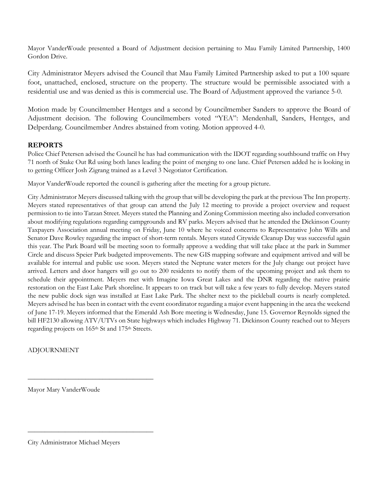Mayor VanderWoude presented a Board of Adjustment decision pertaining to Mau Family Limited Partnership, 1400 Gordon Drive.

City Administrator Meyers advised the Council that Mau Family Limited Partnership asked to put a 100 square foot, unattached, enclosed, structure on the property. The structure would be permissible associated with a residential use and was denied as this is commercial use. The Board of Adjustment approved the variance 5-0.

Motion made by Councilmember Hentges and a second by Councilmember Sanders to approve the Board of Adjustment decision. The following Councilmembers voted "YEA": Mendenhall, Sanders, Hentges, and Delperdang. Councilmember Andres abstained from voting. Motion approved 4-0.

### **REPORTS**

Police Chief Petersen advised the Council he has had communication with the IDOT regarding southbound traffic on Hwy 71 north of Stake Out Rd using both lanes leading the point of merging to one lane. Chief Petersen added he is looking in to getting Officer Josh Zigrang trained as a Level 3 Negotiator Certification.

Mayor VanderWoude reported the council is gathering after the meeting for a group picture.

City Administrator Meyers discussed talking with the group that will be developing the park at the previous The Inn property. Meyers stated representatives of that group can attend the July 12 meeting to provide a project overview and request permission to tie into Tarzan Street. Meyers stated the Planning and Zoning Commission meeting also included conversation about modifying regulations regarding campgrounds and RV parks. Meyers advised that he attended the Dickinson County Taxpayers Association annual meeting on Friday, June 10 where he voiced concerns to Representative John Wills and Senator Dave Rowley regarding the impact of short-term rentals. Meyers stated Citywide Cleanup Day was successful again this year. The Park Board will be meeting soon to formally approve a wedding that will take place at the park in Summer Circle and discuss Speier Park budgeted improvements. The new GIS mapping software and equipment arrived and will be available for internal and public use soon. Meyers stated the Neptune water meters for the July change out project have arrived. Letters and door hangers will go out to 200 residents to notify them of the upcoming project and ask them to schedule their appointment. Meyers met with Imagine Iowa Great Lakes and the DNR regarding the native prairie restoration on the East Lake Park shoreline. It appears to on track but will take a few years to fully develop. Meyers stated the new public dock sign was installed at East Lake Park. The shelter next to the pickleball courts is nearly completed. Meyers advised he has been in contact with the event coordinator regarding a major event happening in the area the weekend of June 17-19. Meyers informed that the Emerald Ash Bore meeting is Wednesday, June 15. Governor Reynolds signed the bill HF2130 allowing ATV/UTVs on State highways which includes Highway 71. Dickinson County reached out to Meyers regarding projects on 165th St and 175th Streets.

# ADJOURNMENT

Mayor Mary VanderWoude

\_\_\_\_\_\_\_\_\_\_\_\_\_\_\_\_\_\_\_\_\_\_\_\_\_\_\_\_\_\_\_\_\_\_\_\_\_

\_\_\_\_\_\_\_\_\_\_\_\_\_\_\_\_\_\_\_\_\_\_\_\_\_\_\_\_\_\_\_\_\_\_\_\_\_

City Administrator Michael Meyers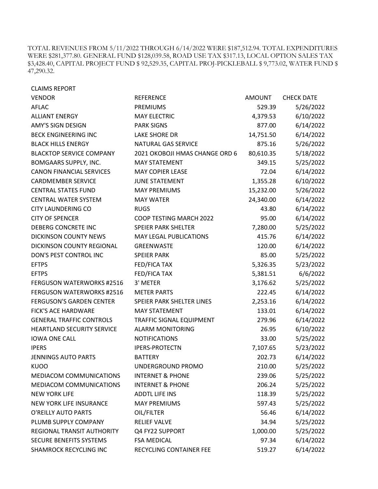TOTAL REVENUES FROM 5/11/2022 THROUGH 6/14/2022 WERE \$187,512.94. TOTAL EXPENDITURES WERE \$281,377.80. GENERAL FUND \$128,039.58, ROAD USE TAX \$317.13, LOCAL OPTION SALES TAX \$3,428.40, CAPITAL PROJECT FUND \$ 92,529.35, CAPITAL PROJ-PICKLEBALL \$ 9,773.02, WATER FUND \$ 47,290.32.

| <b>CLAIMS REPORT</b>              |                                |           |                   |
|-----------------------------------|--------------------------------|-----------|-------------------|
| <b>VENDOR</b>                     | <b>REFERENCE</b>               | AMOUNT    | <b>CHECK DATE</b> |
| <b>AFLAC</b>                      | <b>PREMIUMS</b>                | 529.39    | 5/26/2022         |
| <b>ALLIANT ENERGY</b>             | <b>MAY ELECTRIC</b>            | 4,379.53  | 6/10/2022         |
| <b>AMY'S SIGN DESIGN</b>          | <b>PARK SIGNS</b>              | 877.00    | 6/14/2022         |
| <b>BECK ENGINEERING INC</b>       | <b>LAKE SHORE DR</b>           | 14,751.50 | 6/14/2022         |
| <b>BLACK HILLS ENERGY</b>         | <b>NATURAL GAS SERVICE</b>     | 875.16    | 5/26/2022         |
| <b>BLACKTOP SERVICE COMPANY</b>   | 2021 OKOBOJI HMAS CHANGE ORD 6 | 80,610.35 | 5/18/2022         |
| BOMGAARS SUPPLY, INC.             | <b>MAY STATEMENT</b>           | 349.15    | 5/25/2022         |
| <b>CANON FINANCIAL SERVICES</b>   | <b>MAY COPIER LEASE</b>        | 72.04     | 6/14/2022         |
| <b>CARDMEMBER SERVICE</b>         | <b>JUNE STATEMENT</b>          | 1,355.28  | 6/10/2022         |
| <b>CENTRAL STATES FUND</b>        | <b>MAY PREMIUMS</b>            | 15,232.00 | 5/26/2022         |
| <b>CENTRAL WATER SYSTEM</b>       | <b>MAY WATER</b>               | 24,340.00 | 6/14/2022         |
| <b>CITY LAUNDERING CO</b>         | <b>RUGS</b>                    | 43.80     | 6/14/2022         |
| <b>CITY OF SPENCER</b>            | COOP TESTING MARCH 2022        | 95.00     | 6/14/2022         |
| DEBERG CONCRETE INC               | <b>SPEIER PARK SHELTER</b>     | 7,280.00  | 5/25/2022         |
| <b>DICKINSON COUNTY NEWS</b>      | <b>MAY LEGAL PUBLICATIONS</b>  | 415.76    | 6/14/2022         |
| DICKINSON COUNTY REGIONAL         | <b>GREENWASTE</b>              | 120.00    | 6/14/2022         |
| DON'S PEST CONTROL INC            | <b>SPEIER PARK</b>             | 85.00     | 5/25/2022         |
| <b>EFTPS</b>                      | <b>FED/FICA TAX</b>            | 5,326.35  | 5/23/2022         |
| <b>EFTPS</b>                      | <b>FED/FICA TAX</b>            | 5,381.51  | 6/6/2022          |
| <b>FERGUSON WATERWORKS #2516</b>  | 3' METER                       | 3,176.62  | 5/25/2022         |
| <b>FERGUSON WATERWORKS #2516</b>  | <b>METER PARTS</b>             | 222.45    | 6/14/2022         |
| <b>FERGUSON'S GARDEN CENTER</b>   | SPEIER PARK SHELTER LINES      | 2,253.16  | 6/14/2022         |
| <b>FICK'S ACE HARDWARE</b>        | <b>MAY STATEMENT</b>           | 133.01    | 6/14/2022         |
| <b>GENERAL TRAFFIC CONTROLS</b>   | TRAFFIC SIGNAL EQUIPMENT       | 279.96    | 6/14/2022         |
| <b>HEARTLAND SECURITY SERVICE</b> | <b>ALARM MONITORING</b>        | 26.95     | 6/10/2022         |
| <b>IOWA ONE CALL</b>              | <b>NOTIFICATIONS</b>           | 33.00     | 5/25/2022         |
| <b>IPERS</b>                      | <b>IPERS-PROTECTN</b>          | 7,107.65  | 5/23/2022         |
| <b>JENNINGS AUTO PARTS</b>        | <b>BATTERY</b>                 | 202.73    | 6/14/2022         |
| <b>KUOO</b>                       | UNDERGROUND PROMO              | 210.00    | 5/25/2022         |
| MEDIACOM COMMUNICATIONS           | <b>INTERNET &amp; PHONE</b>    | 239.06    | 5/25/2022         |
| MEDIACOM COMMUNICATIONS           | <b>INTERNET &amp; PHONE</b>    | 206.24    | 5/25/2022         |
| <b>NEW YORK LIFE</b>              | <b>ADDTL LIFE INS</b>          | 118.39    | 5/25/2022         |
| <b>NEW YORK LIFE INSURANCE</b>    | <b>MAY PREMIUMS</b>            | 597.43    | 5/25/2022         |
| O'REILLY AUTO PARTS               | OIL/FILTER                     | 56.46     | 6/14/2022         |
| PLUMB SUPPLY COMPANY              | <b>RELIEF VALVE</b>            | 34.94     | 5/25/2022         |
| REGIONAL TRANSIT AUTHORITY        | Q4 FY22 SUPPORT                | 1,000.00  | 5/25/2022         |
| <b>SECURE BENEFITS SYSTEMS</b>    | <b>FSA MEDICAL</b>             | 97.34     | 6/14/2022         |
| <b>SHAMROCK RECYCLING INC</b>     | RECYCLING CONTAINER FEE        | 519.27    | 6/14/2022         |